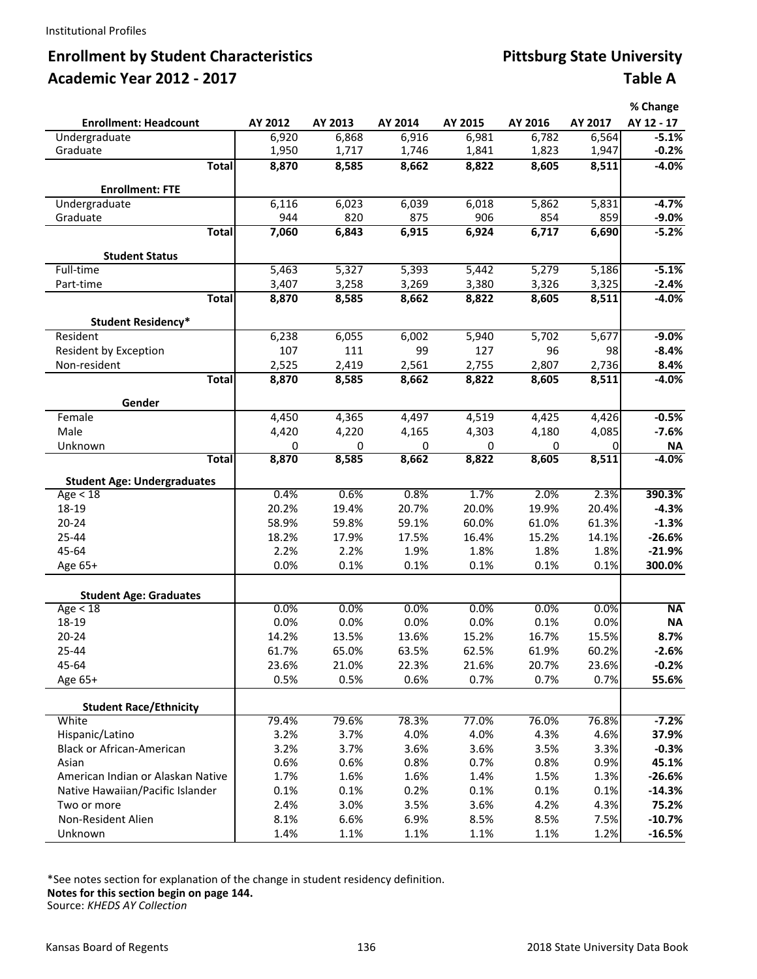# **Enrollment by Student Characteristics Academic Year 2012 - 2017**

| <b>Pittsburg State University</b> |                |
|-----------------------------------|----------------|
|                                   | <b>Table A</b> |

|                                        |         |         |         |         |         |          | % Change   |
|----------------------------------------|---------|---------|---------|---------|---------|----------|------------|
| <b>Enrollment: Headcount</b>           | AY 2012 | AY 2013 | AY 2014 | AY 2015 | AY 2016 | AY 2017  | AY 12 - 17 |
| Undergraduate                          | 6,920   | 6,868   | 6,916   | 6,981   | 6,782   | 6,564    | $-5.1%$    |
| Graduate                               | 1,950   | 1,717   | 1,746   | 1,841   | 1,823   | 1,947    | $-0.2%$    |
| <b>Total</b>                           | 8,870   | 8,585   | 8,662   | 8,822   | 8,605   | 8,511    | $-4.0%$    |
| <b>Enrollment: FTE</b>                 |         |         |         |         |         |          |            |
| Undergraduate                          | 6,116   | 6,023   | 6,039   | 6,018   | 5,862   | 5,831    | $-4.7%$    |
| Graduate                               | 944     | 820     | 875     | 906     | 854     | 859      | $-9.0\%$   |
| <b>Total</b>                           | 7,060   | 6,843   | 6,915   | 6,924   | 6,717   | 6,690    | $-5.2%$    |
| <b>Student Status</b>                  |         |         |         |         |         |          |            |
| Full-time                              | 5,463   | 5,327   | 5,393   | 5,442   | 5,279   | 5,186    | $-5.1%$    |
| Part-time                              | 3,407   | 3,258   | 3,269   | 3,380   | 3,326   | 3,325    | $-2.4%$    |
| <b>Total</b>                           | 8,870   | 8,585   | 8,662   | 8,822   | 8,605   | 8,511    | $-4.0%$    |
|                                        |         |         |         |         |         |          |            |
| <b>Student Residency*</b>              |         |         |         |         |         |          |            |
| Resident                               | 6,238   | 6,055   | 6,002   | 5,940   | 5,702   | 5,677    | $-9.0\%$   |
| Resident by Exception                  | 107     | 111     | 99      | 127     | 96      | 98       | $-8.4%$    |
| Non-resident                           | 2,525   | 2,419   | 2,561   | 2,755   | 2,807   | 2,736    | 8.4%       |
| <b>Total</b>                           | 8,870   | 8,585   | 8,662   | 8,822   | 8,605   | 8,511    | $-4.0%$    |
| Gender                                 |         |         |         |         |         |          |            |
| Female                                 | 4,450   | 4,365   | 4,497   | 4,519   | 4,425   | 4,426    | $-0.5%$    |
| Male                                   | 4,420   | 4,220   | 4,165   | 4,303   | 4,180   | 4,085    | $-7.6%$    |
| Unknown                                | 0       | 0       | 0       | 0       | 0       | $\Omega$ | <b>NA</b>  |
| <b>Total</b>                           | 8,870   | 8,585   | 8,662   | 8,822   | 8,605   | 8,511    | $-4.0%$    |
| <b>Student Age: Undergraduates</b>     |         |         |         |         |         |          |            |
| Age $<$ 18                             | 0.4%    | 0.6%    | 0.8%    | 1.7%    | 2.0%    | 2.3%     | 390.3%     |
| 18-19                                  | 20.2%   | 19.4%   | 20.7%   | 20.0%   | 19.9%   | 20.4%    | $-4.3%$    |
| $20 - 24$                              | 58.9%   | 59.8%   | 59.1%   | 60.0%   | 61.0%   | 61.3%    | $-1.3%$    |
| 25-44                                  | 18.2%   | 17.9%   | 17.5%   | 16.4%   | 15.2%   | 14.1%    | $-26.6%$   |
| 45-64                                  | 2.2%    | 2.2%    | 1.9%    | 1.8%    | 1.8%    | 1.8%     | $-21.9%$   |
| Age 65+                                | 0.0%    | 0.1%    | 0.1%    | 0.1%    | 0.1%    | 0.1%     | 300.0%     |
| <b>Student Age: Graduates</b>          |         |         |         |         |         |          |            |
| Age < 18                               | 0.0%    | 0.0%    | 0.0%    | 0.0%    | 0.0%    | 0.0%     | <b>NA</b>  |
| 18-19                                  | 0.0%    | 0.0%    | 0.0%    | 0.0%    | 0.1%    | 0.0%     | <b>NA</b>  |
| $20 - 24$                              | 14.2%   | 13.5%   | 13.6%   | 15.2%   | 16.7%   | 15.5%    | 8.7%       |
| 25-44                                  | 61.7%   | 65.0%   | 63.5%   | 62.5%   | 61.9%   | 60.2%    | $-2.6%$    |
| 45-64                                  | 23.6%   | 21.0%   | 22.3%   | 21.6%   | 20.7%   | 23.6%    | $-0.2%$    |
| Age 65+                                | 0.5%    | 0.5%    | 0.6%    | 0.7%    | 0.7%    | 0.7%     | 55.6%      |
|                                        |         |         |         |         |         |          |            |
| <b>Student Race/Ethnicity</b><br>White | 79.4%   | 79.6%   | 78.3%   | 77.0%   | 76.0%   | 76.8%    | $-7.2%$    |
| Hispanic/Latino                        | 3.2%    | 3.7%    | 4.0%    | 4.0%    | 4.3%    | 4.6%     | 37.9%      |
| Black or African-American              | 3.2%    | 3.7%    | 3.6%    | 3.6%    | 3.5%    | 3.3%     | $-0.3%$    |
| Asian                                  | 0.6%    | 0.6%    | 0.8%    | 0.7%    | 0.8%    | 0.9%     | 45.1%      |
| American Indian or Alaskan Native      | 1.7%    | 1.6%    | 1.6%    | 1.4%    | 1.5%    | 1.3%     | $-26.6%$   |
| Native Hawaiian/Pacific Islander       | 0.1%    | 0.1%    | 0.2%    | 0.1%    | 0.1%    | 0.1%     | $-14.3%$   |
| Two or more                            | 2.4%    | 3.0%    | 3.5%    | 3.6%    | 4.2%    | 4.3%     | 75.2%      |
| Non-Resident Alien                     | 8.1%    | 6.6%    | 6.9%    | 8.5%    | 8.5%    | 7.5%     | $-10.7%$   |
| Unknown                                | 1.4%    | 1.1%    | 1.1%    | 1.1%    | 1.1%    | 1.2%     | $-16.5%$   |

\*See notes section for explanation of the change in student residency definition. **Notes for this section begin on page 144.**

Source: *KHEDS AY Collection*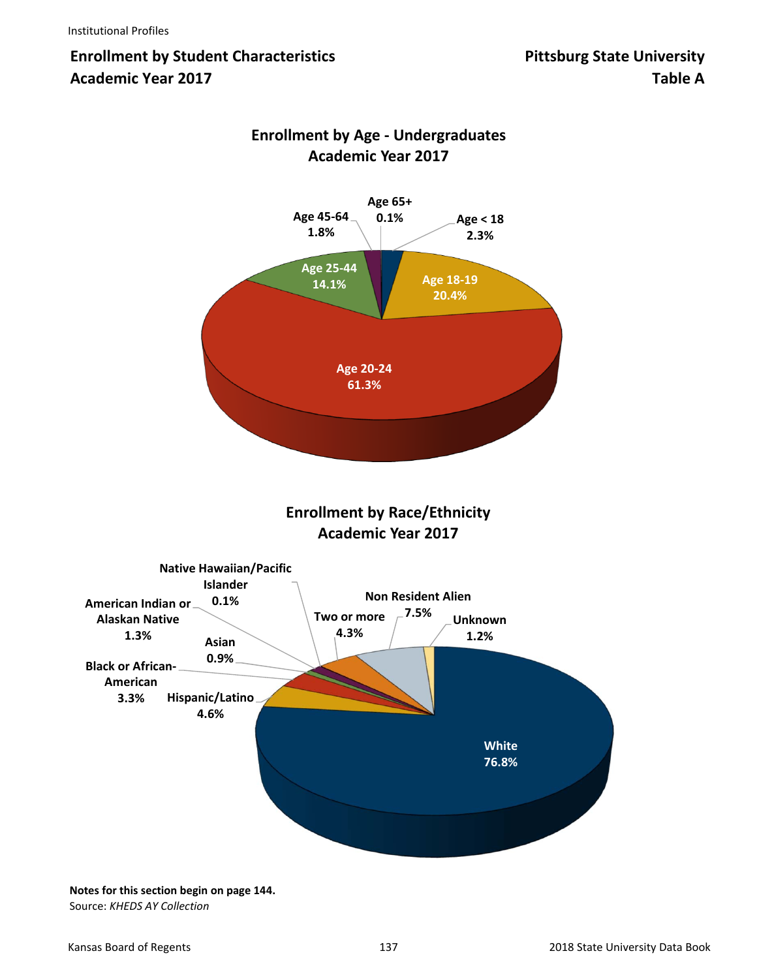# **Enrollment by Student Characteristics**  Pittsburg State University **Academic Year 2017 Table A**



## **Enrollment by Age ‐ Undergraduates Academic Year 2017**

**Enrollment by Race/Ethnicity Academic Year 2017**



**Notes for this section begin on page 144.** Source: *KHEDS AY Collection*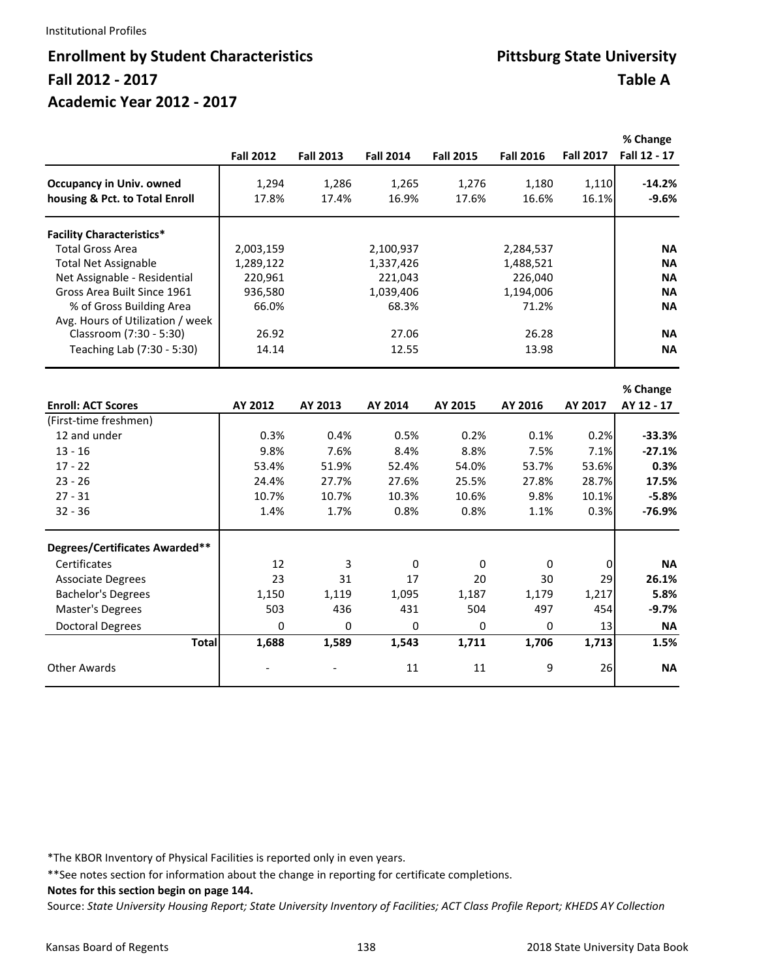#### Institutional Profiles

# **Enrollment by Student Characteristics <br>
Enrollment by Student Characteristics Pittsburg State University Fall 2012 ‐ 2017 Table A Academic Year 2012 ‐ 2017**

|                                  | <b>Fall 2012</b> | <b>Fall 2013</b> | <b>Fall 2014</b> | <b>Fall 2015</b> | <b>Fall 2016</b> | <b>Fall 2017</b> | % Change<br>Fall 12 - 17 |
|----------------------------------|------------------|------------------|------------------|------------------|------------------|------------------|--------------------------|
| <b>Occupancy in Univ. owned</b>  | 1,294            | 1,286            | 1,265            | 1,276            | 1,180            | 1,110            | $-14.2%$                 |
| housing & Pct. to Total Enroll   | 17.8%            | 17.4%            | 16.9%            | 17.6%            | 16.6%            | 16.1%            | $-9.6%$                  |
| <b>Facility Characteristics*</b> |                  |                  |                  |                  |                  |                  |                          |
| <b>Total Gross Area</b>          | 2,003,159        |                  | 2,100,937        |                  | 2,284,537        |                  | <b>NA</b>                |
| <b>Total Net Assignable</b>      | 1,289,122        |                  | 1,337,426        |                  | 1,488,521        |                  | <b>NA</b>                |
| Net Assignable - Residential     | 220,961          |                  | 221,043          |                  | 226,040          |                  | <b>NA</b>                |
| Gross Area Built Since 1961      | 936,580          |                  | 1,039,406        |                  | 1,194,006        |                  | <b>NA</b>                |
| % of Gross Building Area         | 66.0%            |                  | 68.3%            |                  | 71.2%            |                  | <b>NA</b>                |
| Avg. Hours of Utilization / week |                  |                  |                  |                  |                  |                  |                          |
| Classroom (7:30 - 5:30)          | 26.92            |                  | 27.06            |                  | 26.28            |                  | <b>NA</b>                |
| Teaching Lab (7:30 - 5:30)       | 14.14            |                  | 12.55            |                  | 13.98            |                  | <b>NA</b>                |
|                                  |                  |                  |                  |                  |                  |                  | % Change                 |
| <b>Enroll: ACT Scores</b>        | AY 2012          | AY 2013          | AY 2014          | AY 2015          | AY 2016          | AY 2017          | AY 12 - 17               |
| (First-time freshmen)            |                  |                  |                  |                  |                  |                  |                          |
| 12 and under                     | 0.3%             | 0.4%             | 0.5%             | 0.2%             | 0.1%             | 0.2%             | $-33.3%$                 |
| $13 - 16$                        | 9.8%             | 7.6%             | 8.4%             | 8.8%             | 7.5%             | 7.1%             | $-27.1%$                 |
| $17 - 22$                        | 53.4%            | 51.9%            | 52.4%            | 54.0%            | 53.7%            | 53.6%            | 0.3%                     |
| $23 - 26$                        | 24.4%            | 27.7%            | 27.6%            | 25.5%            | 27.8%            | 28.7%            | 17.5%                    |
| $27 - 31$                        | 10.7%            | 10.7%            | 10.3%            | 10.6%            | 9.8%             | 10.1%            | $-5.8%$                  |
| $32 - 36$                        | 1.4%             | 1.7%             | 0.8%             | 0.8%             | 1.1%             | 0.3%             | $-76.9%$                 |
| Degrees/Certificates Awarded**   |                  |                  |                  |                  |                  |                  |                          |
| Certificates                     | 12               | 3                | 0                | 0                | 0                | 0                | <b>NA</b>                |
| <b>Associate Degrees</b>         | 23               | 31               | 17               | 20               | 30               | 29               | 26.1%                    |
| <b>Bachelor's Degrees</b>        | 1,150            | 1,119            | 1,095            | 1,187            | 1,179            | 1,217            | 5.8%                     |
| Master's Degrees                 | 503              | 436              | 431              | 504              | 497              | 454              | $-9.7%$                  |
| <b>Doctoral Degrees</b>          | 0                | 0                | 0                | 0                | 0                | 13               | <b>NA</b>                |
| <b>Total</b>                     | 1,688            | 1,589            | 1,543            | 1,711            | 1,706            | 1,713            | 1.5%                     |
| <b>Other Awards</b>              |                  |                  | 11               | 11               | 9                | 26               | <b>NA</b>                |
|                                  |                  |                  |                  |                  |                  |                  |                          |

\*The KBOR Inventory of Physical Facilities is reported only in even years.

\*\*See notes section for information about the change in reporting for certificate completions.

**Notes for this section begin on page 144.**

Source: *State University Housing Report; State University Inventory of Facilities; ACT Class Profile Report; KHEDS AY Collection*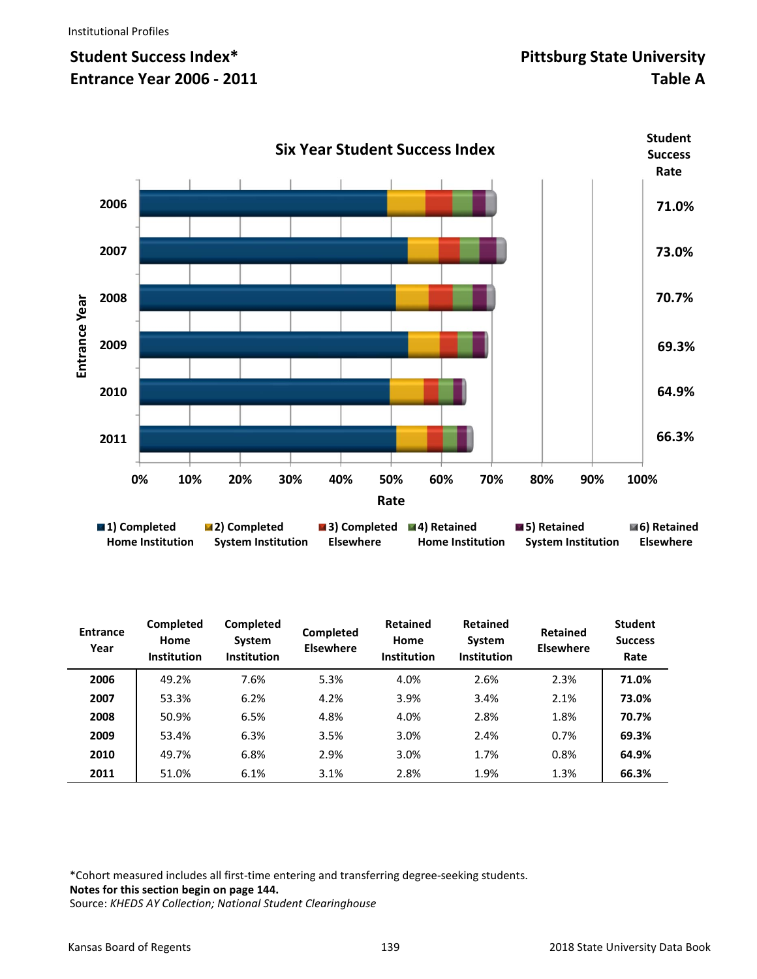

| <b>Entrance</b><br>Year | <b>Completed</b><br>Home<br><b>Institution</b> | <b>Completed</b><br>System<br><b>Institution</b> | <b>Completed</b><br><b>Elsewhere</b> | <b>Retained</b><br>Home<br><b>Institution</b> | <b>Retained</b><br>System<br><b>Institution</b> | <b>Retained</b><br><b>Elsewhere</b> | <b>Student</b><br><b>Success</b><br>Rate |
|-------------------------|------------------------------------------------|--------------------------------------------------|--------------------------------------|-----------------------------------------------|-------------------------------------------------|-------------------------------------|------------------------------------------|
| 2006                    | 49.2%                                          | 7.6%                                             | 5.3%                                 | 4.0%                                          | 2.6%                                            | 2.3%                                | 71.0%                                    |
| 2007                    | 53.3%                                          | 6.2%                                             | 4.2%                                 | 3.9%                                          | 3.4%                                            | 2.1%                                | 73.0%                                    |
| 2008                    | 50.9%                                          | 6.5%                                             | 4.8%                                 | 4.0%                                          | 2.8%                                            | 1.8%                                | 70.7%                                    |
| 2009                    | 53.4%                                          | 6.3%                                             | 3.5%                                 | 3.0%                                          | 2.4%                                            | 0.7%                                | 69.3%                                    |
| 2010                    | 49.7%                                          | 6.8%                                             | 2.9%                                 | 3.0%                                          | 1.7%                                            | 0.8%                                | 64.9%                                    |
| 2011                    | 51.0%                                          | 6.1%                                             | 3.1%                                 | 2.8%                                          | 1.9%                                            | 1.3%                                | 66.3%                                    |

\*Cohort measured includes all first‐time entering and transferring degree‐seeking students. **Notes for this section begin on page 144.** 

Source: *KHEDS AY Collection; National Student Clearinghouse*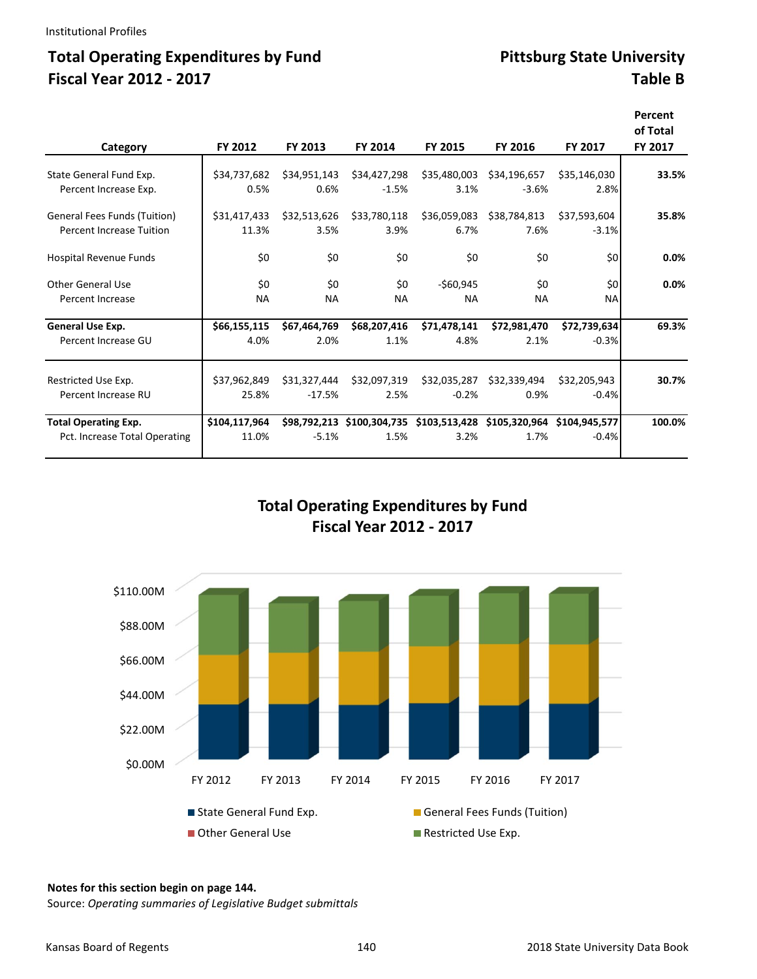## Total Operating Expenditures by Fund **Pittsburg State University Fiscal Year 2012 ‐ 2017 Table B**

| Category                      | FY 2012       | FY 2013      | FY 2014      | FY 2015                                                              | FY 2016      | FY 2017      | Percent<br>of Total<br>FY 2017 |
|-------------------------------|---------------|--------------|--------------|----------------------------------------------------------------------|--------------|--------------|--------------------------------|
|                               |               |              |              |                                                                      |              |              |                                |
| State General Fund Exp.       | \$34.737.682  | \$34,951,143 | \$34,427,298 | \$35,480,003                                                         | \$34,196,657 | \$35,146,030 | 33.5%                          |
| Percent Increase Exp.         | 0.5%          | 0.6%         | $-1.5%$      | 3.1%                                                                 | $-3.6%$      | 2.8%         |                                |
| General Fees Funds (Tuition)  | \$31,417,433  | \$32,513,626 | \$33,780,118 | \$36,059,083                                                         | \$38,784,813 | \$37,593,604 | 35.8%                          |
| Percent Increase Tuition      | 11.3%         | 3.5%         | 3.9%         | 6.7%                                                                 | 7.6%         | $-3.1%$      |                                |
| Hospital Revenue Funds        | \$0           | \$0          | \$0          | \$0                                                                  | \$0          | \$0          | 0.0%                           |
| Other General Use             | \$0           | \$0          | \$0          | $-560,945$                                                           | \$0          | \$0          | 0.0%                           |
| <b>Percent Increase</b>       | <b>NA</b>     | <b>NA</b>    | <b>NA</b>    | <b>NA</b>                                                            | <b>NA</b>    | <b>NA</b>    |                                |
| General Use Exp.              | \$66,155,115  | \$67,464,769 | \$68,207,416 | \$71,478,141                                                         | \$72,981,470 | \$72,739,634 | 69.3%                          |
| Percent Increase GU           | 4.0%          | 2.0%         | 1.1%         | 4.8%                                                                 | 2.1%         | $-0.3%$      |                                |
| Restricted Use Exp.           | \$37,962,849  | \$31,327,444 | \$32,097,319 | \$32,035,287                                                         | \$32,339,494 | \$32,205,943 | 30.7%                          |
| Percent Increase RU           | 25.8%         | $-17.5%$     | 2.5%         | $-0.2%$                                                              | 0.9%         | $-0.4%$      |                                |
| <b>Total Operating Exp.</b>   | \$104,117,964 |              |              | \$98,792,213 \$100,304,735 \$103,513,428 \$105,320,964 \$104,945,577 |              |              | 100.0%                         |
| Pct. Increase Total Operating | 11.0%         | $-5.1%$      | 1.5%         | 3.2%                                                                 | 1.7%         | $-0.4%$      |                                |

#### **Total Operating Expenditures by Fund Fiscal Year 2012 ‐ 2017**



#### **Notes for this section begin on page 144.**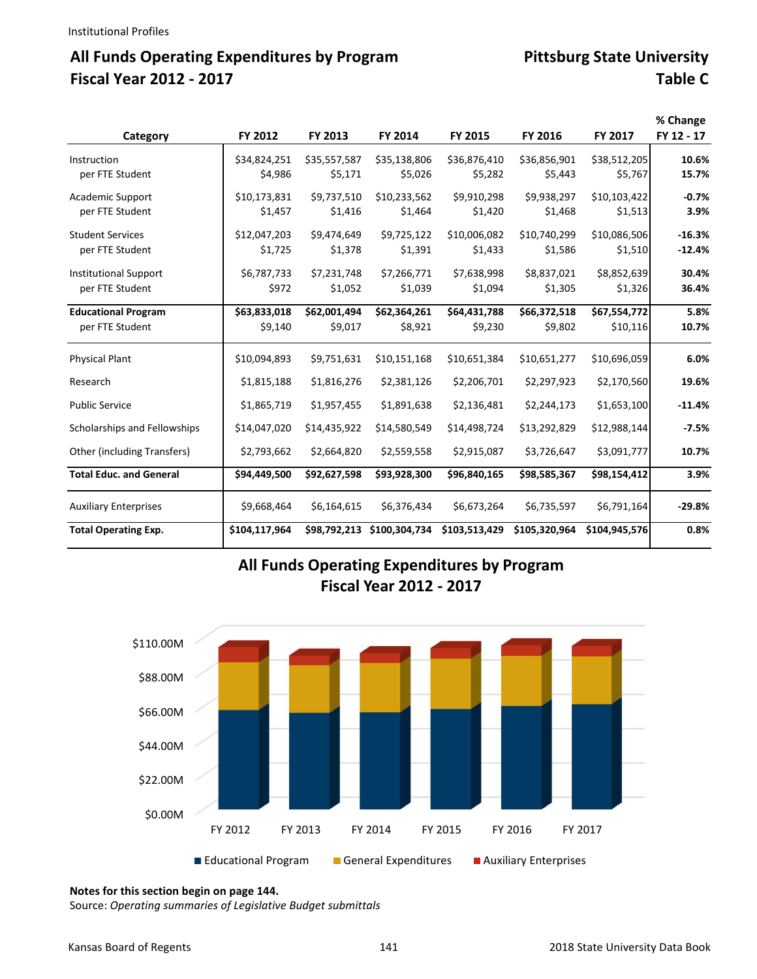# All Funds Operating Expenditures by Program **Pittsburg State University Fiscal Year 2012 ‐ 2017 Table C**

|                                |               |              |               |               |               |               | % Change   |
|--------------------------------|---------------|--------------|---------------|---------------|---------------|---------------|------------|
| Category                       | FY 2012       | FY 2013      | FY 2014       | FY 2015       | FY 2016       | FY 2017       | FY 12 - 17 |
| Instruction                    | \$34,824,251  | \$35,557,587 | \$35,138,806  | \$36,876,410  | \$36,856,901  | \$38,512,205  | 10.6%      |
| per FTE Student                | \$4,986       | \$5,171      | \$5,026       | \$5,282       | \$5,443       | \$5,767       | 15.7%      |
| <b>Academic Support</b>        | \$10,173,831  | \$9,737,510  | \$10,233,562  | \$9,910,298   | \$9,938,297   | \$10,103,422  | $-0.7%$    |
| per FTE Student                | \$1,457       | \$1,416      | \$1,464       | \$1,420       | \$1,468       | \$1,513       | 3.9%       |
| <b>Student Services</b>        | \$12,047,203  | \$9,474,649  | \$9,725,122   | \$10,006,082  | \$10,740,299  | \$10,086,506  | $-16.3%$   |
| per FTE Student                | \$1,725       | \$1,378      | \$1,391       | \$1,433       | \$1,586       | \$1,510       | $-12.4%$   |
| <b>Institutional Support</b>   | \$6,787,733   | \$7,231,748  | \$7,266,771   | \$7,638,998   | \$8,837,021   | \$8,852,639   | 30.4%      |
| per FTE Student                | \$972         | \$1,052      | \$1,039       | \$1,094       | \$1,305       | \$1,326       | 36.4%      |
| <b>Educational Program</b>     | \$63,833,018  | \$62,001,494 | \$62,364,261  | \$64,431,788  | \$66,372,518  | \$67,554,772  | 5.8%       |
| per FTE Student                | \$9,140       | \$9,017      | \$8,921       | \$9,230       | \$9,802       | \$10,116      | 10.7%      |
| <b>Physical Plant</b>          | \$10,094,893  | \$9,751,631  | \$10,151,168  | \$10,651,384  | \$10,651,277  | \$10,696,059  | 6.0%       |
| Research                       | \$1,815,188   | \$1,816,276  | \$2,381,126   | \$2,206,701   | \$2,297,923   | \$2,170,560   | 19.6%      |
| <b>Public Service</b>          | \$1,865,719   | \$1,957,455  | \$1,891,638   | \$2,136,481   | \$2,244,173   | \$1,653,100   | $-11.4%$   |
| Scholarships and Fellowships   | \$14,047,020  | \$14,435,922 | \$14,580,549  | \$14,498,724  | \$13,292,829  | \$12,988,144  | $-7.5%$    |
| Other (including Transfers)    | \$2,793,662   | \$2,664,820  | \$2,559,558   | \$2,915,087   | \$3,726,647   | \$3,091,777   | 10.7%      |
| <b>Total Educ. and General</b> | \$94,449,500  | \$92,627,598 | \$93,928,300  | \$96,840,165  | \$98,585,367  | \$98,154,412  | 3.9%       |
| <b>Auxiliary Enterprises</b>   | \$9,668,464   | \$6,164,615  | \$6,376,434   | \$6,673,264   | \$6,735,597   | \$6,791,164   | $-29.8%$   |
| <b>Total Operating Exp.</b>    | \$104,117,964 | \$98.792.213 | \$100,304,734 | \$103,513,429 | \$105,320,964 | \$104,945,576 | 0.8%       |

### **All Funds Operating Expenditures by Program Fiscal Year 2012 ‐ 2017**



**Notes for this section begin on page 144.**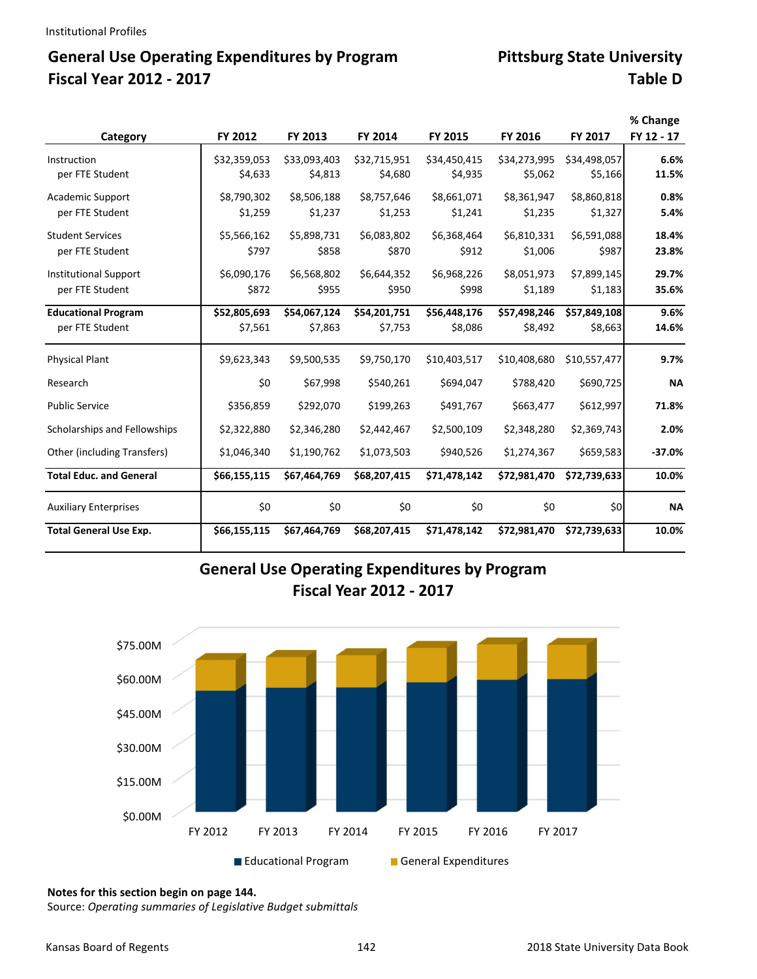# General Use Operating Expenditures by Program **Pittsburg State University Fiscal Year 2012 ‐ 2017 Table D**

|                                |              |              |              |              |              |              | % Change   |
|--------------------------------|--------------|--------------|--------------|--------------|--------------|--------------|------------|
| Category                       | FY 2012      | FY 2013      | FY 2014      | FY 2015      | FY 2016      | FY 2017      | FY 12 - 17 |
| Instruction                    | \$32,359,053 | \$33,093,403 | \$32,715,951 | \$34,450,415 | \$34,273,995 | \$34,498,057 | 6.6%       |
| per FTE Student                | \$4,633      | \$4,813      | \$4,680      | \$4,935      | \$5,062      | \$5,166      | 11.5%      |
| <b>Academic Support</b>        | \$8,790,302  | \$8,506,188  | \$8,757,646  | \$8,661,071  | \$8,361,947  | \$8,860,818  | 0.8%       |
| per FTE Student                | \$1,259      | \$1,237      | \$1,253      | \$1,241      | \$1,235      | \$1,327      | 5.4%       |
| <b>Student Services</b>        | \$5,566,162  | \$5,898,731  | \$6,083,802  | \$6,368,464  | \$6,810,331  | \$6,591,088  | 18.4%      |
| per FTE Student                | \$797        | \$858        | \$870        | \$912        | \$1,006      | \$987        | 23.8%      |
| <b>Institutional Support</b>   | \$6,090,176  | \$6,568,802  | \$6,644,352  | \$6,968,226  | \$8,051,973  | \$7,899,145  | 29.7%      |
| per FTE Student                | \$872        | \$955        | \$950        | \$998        | \$1,189      | \$1,183      | 35.6%      |
| <b>Educational Program</b>     | \$52,805,693 | \$54,067,124 | \$54,201,751 | \$56,448,176 | \$57,498,246 | \$57,849,108 | 9.6%       |
| per FTE Student                | \$7,561      | \$7,863      | \$7,753      | \$8,086      | \$8,492      | \$8,663      | 14.6%      |
| <b>Physical Plant</b>          | \$9,623,343  | \$9,500,535  | \$9,750,170  | \$10,403,517 | \$10,408,680 | \$10,557,477 | 9.7%       |
| Research                       | \$0          | \$67,998     | \$540,261    | \$694,047    | \$788,420    | \$690,725    | <b>NA</b>  |
| <b>Public Service</b>          | \$356,859    | \$292,070    | \$199,263    | \$491,767    | \$663,477    | \$612,997    | 71.8%      |
| Scholarships and Fellowships   | \$2,322,880  | \$2,346,280  | \$2,442,467  | \$2,500,109  | \$2,348,280  | \$2,369,743  | 2.0%       |
| Other (including Transfers)    | \$1,046,340  | \$1,190,762  | \$1,073,503  | \$940,526    | \$1,274,367  | \$659,583    | $-37.0%$   |
| <b>Total Educ. and General</b> | \$66,155,115 | \$67,464,769 | \$68,207,415 | \$71,478,142 | \$72,981,470 | \$72,739,633 | 10.0%      |
| <b>Auxiliary Enterprises</b>   | \$0          | \$0          | \$0          | \$0          | \$0          | \$0          | <b>NA</b>  |
| <b>Total General Use Exp.</b>  | \$66,155,115 | \$67,464,769 | \$68,207,415 | \$71,478,142 | \$72,981,470 | \$72,739,633 | 10.0%      |

### **General Use Operating Expenditures by Program Fiscal Year 2012 ‐ 2017**



**Notes for this section begin on page 144.**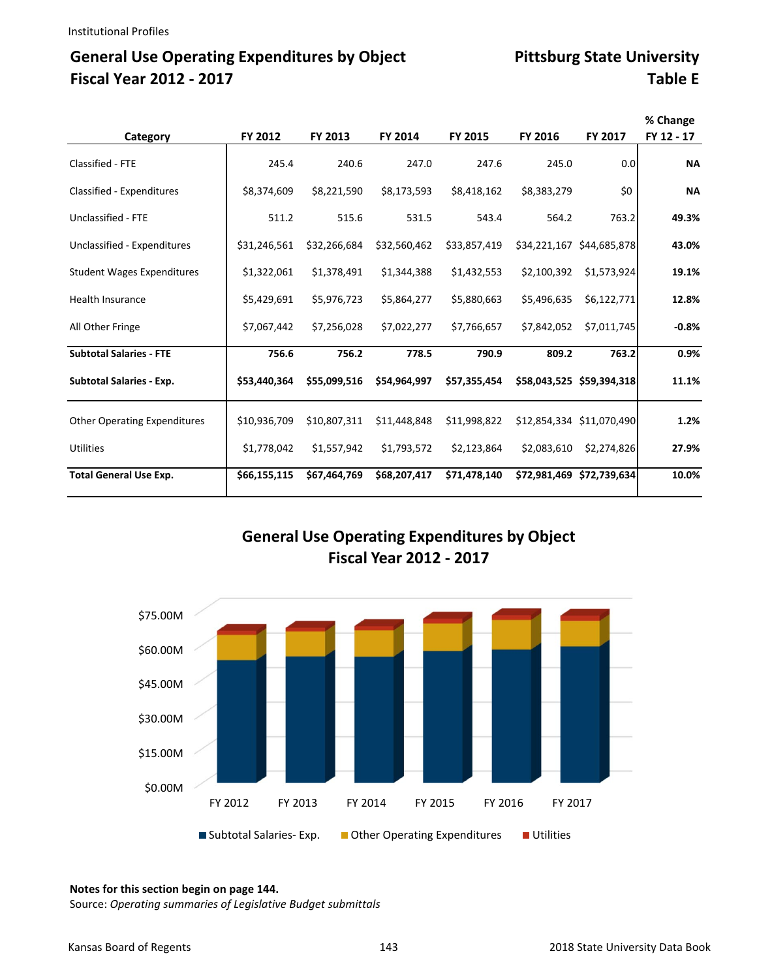# General Use Operating Expenditures by Object Pittsburg State University **Fiscal Year 2012 ‐ 2017 Table E**

| Category                            | FY 2012      | FY 2013      | FY 2014      | FY 2015      | FY 2016     | <b>FY 2017</b>            | % Change<br>FY 12 - 17 |
|-------------------------------------|--------------|--------------|--------------|--------------|-------------|---------------------------|------------------------|
| Classified - FTE                    | 245.4        | 240.6        | 247.0        | 247.6        | 245.0       | 0.0                       | <b>NA</b>              |
| Classified - Expenditures           | \$8,374,609  | \$8,221,590  | \$8,173,593  | \$8,418,162  | \$8,383,279 | \$0                       | <b>NA</b>              |
| Unclassified - FTE                  | 511.2        | 515.6        | 531.5        | 543.4        | 564.2       | 763.2                     | 49.3%                  |
| Unclassified - Expenditures         | \$31,246,561 | \$32,266,684 | \$32,560,462 | \$33,857,419 |             | \$34,221,167 \$44,685,878 | 43.0%                  |
| <b>Student Wages Expenditures</b>   | \$1,322,061  | \$1,378,491  | \$1,344,388  | \$1,432,553  | \$2,100,392 | \$1,573,924               | 19.1%                  |
| Health Insurance                    | \$5,429,691  | \$5,976,723  | \$5,864,277  | \$5,880,663  | \$5,496,635 | \$6,122,771               | 12.8%                  |
| All Other Fringe                    | \$7,067,442  | \$7,256,028  | \$7,022,277  | \$7,766,657  | \$7,842,052 | \$7,011,745               | $-0.8%$                |
| <b>Subtotal Salaries - FTE</b>      | 756.6        | 756.2        | 778.5        | 790.9        | 809.2       | 763.2                     | 0.9%                   |
| <b>Subtotal Salaries - Exp.</b>     | \$53,440,364 | \$55,099,516 | \$54,964,997 | \$57,355,454 |             | \$58,043,525 \$59,394,318 | 11.1%                  |
| <b>Other Operating Expenditures</b> | \$10,936,709 | \$10,807,311 | \$11,448,848 | \$11,998,822 |             | \$12,854,334 \$11,070,490 | 1.2%                   |
| <b>Utilities</b>                    | \$1,778,042  | \$1,557,942  | \$1,793,572  | \$2,123,864  | \$2,083,610 | \$2,274,826               | 27.9%                  |
| <b>Total General Use Exp.</b>       | \$66,155,115 | \$67,464,769 | \$68,207,417 | \$71,478,140 |             | \$72,981,469 \$72,739,634 | 10.0%                  |

### **General Use Operating Expenditures by Object Fiscal Year 2012 ‐ 2017**



#### **Notes for this section begin on page 144.**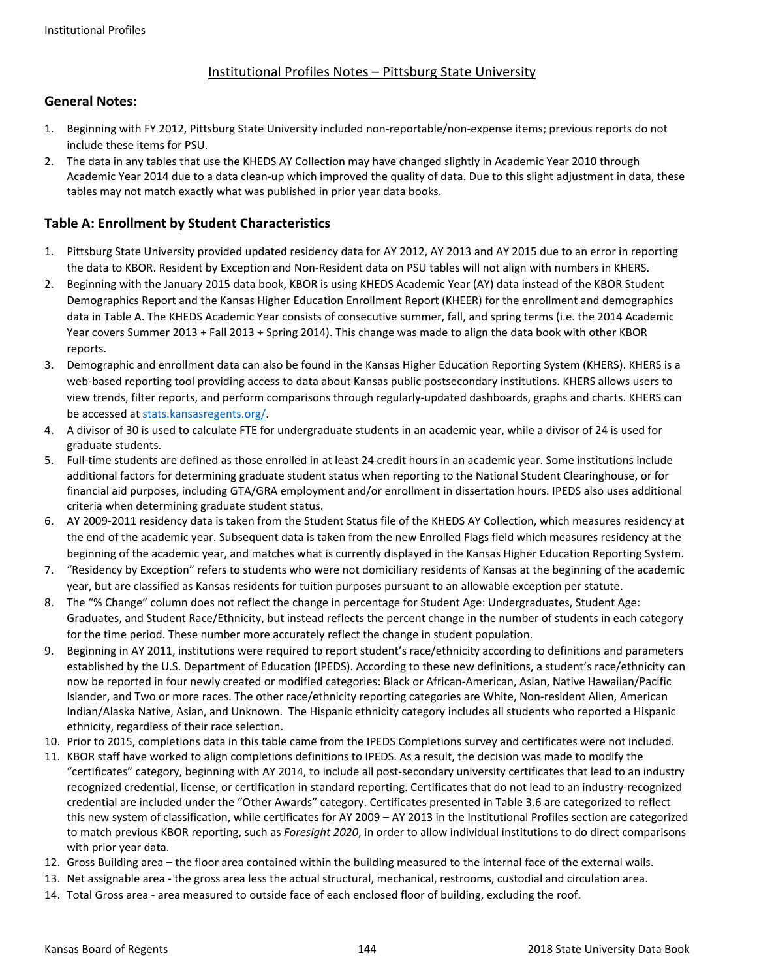#### Institutional Profiles Notes – Pittsburg State University

#### **General Notes:**

- 1. Beginning with FY 2012, Pittsburg State University included non‐reportable/non‐expense items; previous reports do not include these items for PSU.
- 2. The data in any tables that use the KHEDS AY Collection may have changed slightly in Academic Year 2010 through Academic Year 2014 due to a data clean‐up which improved the quality of data. Due to this slight adjustment in data, these tables may not match exactly what was published in prior year data books.

#### **Table A: Enrollment by Student Characteristics**

- 1. Pittsburg State University provided updated residency data for AY 2012, AY 2013 and AY 2015 due to an error in reporting the data to KBOR. Resident by Exception and Non‐Resident data on PSU tables will not align with numbers in KHERS.
- 2. Beginning with the January 2015 data book, KBOR is using KHEDS Academic Year (AY) data instead of the KBOR Student Demographics Report and the Kansas Higher Education Enrollment Report (KHEER) for the enrollment and demographics data in Table A. The KHEDS Academic Year consists of consecutive summer, fall, and spring terms (i.e. the 2014 Academic Year covers Summer 2013 + Fall 2013 + Spring 2014). This change was made to align the data book with other KBOR reports.
- 3. Demographic and enrollment data can also be found in the Kansas Higher Education Reporting System (KHERS). KHERS is a web-based reporting tool providing access to data about Kansas public postsecondary institutions. KHERS allows users to view trends, filter reports, and perform comparisons through regularly‐updated dashboards, graphs and charts. KHERS can be accessed at stats.kansasregents.org/.
- 4. A divisor of 30 is used to calculate FTE for undergraduate students in an academic year, while a divisor of 24 is used for graduate students.
- 5. Full-time students are defined as those enrolled in at least 24 credit hours in an academic year. Some institutions include additional factors for determining graduate student status when reporting to the National Student Clearinghouse, or for financial aid purposes, including GTA/GRA employment and/or enrollment in dissertation hours. IPEDS also uses additional criteria when determining graduate student status.
- 6. AY 2009‐2011 residency data is taken from the Student Status file of the KHEDS AY Collection, which measures residency at the end of the academic year. Subsequent data is taken from the new Enrolled Flags field which measures residency at the beginning of the academic year, and matches what is currently displayed in the Kansas Higher Education Reporting System.
- 7. "Residency by Exception" refers to students who were not domiciliary residents of Kansas at the beginning of the academic year, but are classified as Kansas residents for tuition purposes pursuant to an allowable exception per statute.
- 8. The "% Change" column does not reflect the change in percentage for Student Age: Undergraduates, Student Age: Graduates, and Student Race/Ethnicity, but instead reflects the percent change in the number of students in each category for the time period. These number more accurately reflect the change in student population.
- 9. Beginning in AY 2011, institutions were required to report student's race/ethnicity according to definitions and parameters established by the U.S. Department of Education (IPEDS). According to these new definitions, a student's race/ethnicity can now be reported in four newly created or modified categories: Black or African‐American, Asian, Native Hawaiian/Pacific Islander, and Two or more races. The other race/ethnicity reporting categories are White, Non-resident Alien, American Indian/Alaska Native, Asian, and Unknown. The Hispanic ethnicity category includes all students who reported a Hispanic ethnicity, regardless of their race selection.
- 10. Prior to 2015, completions data in this table came from the IPEDS Completions survey and certificates were not included.
- 11. KBOR staff have worked to align completions definitions to IPEDS. As a result, the decision was made to modify the "certificates" category, beginning with AY 2014, to include all post‐secondary university certificates that lead to an industry recognized credential, license, or certification in standard reporting. Certificates that do not lead to an industry‐recognized credential are included under the "Other Awards" category. Certificates presented in Table 3.6 are categorized to reflect this new system of classification, while certificates for AY 2009 – AY 2013 in the Institutional Profiles section are categorized to match previous KBOR reporting, such as *Foresight 2020*, in order to allow individual institutions to do direct comparisons with prior year data.
- 12. Gross Building area the floor area contained within the building measured to the internal face of the external walls.
- 13. Net assignable area ‐ the gross area less the actual structural, mechanical, restrooms, custodial and circulation area.
- 14. Total Gross area ‐ area measured to outside face of each enclosed floor of building, excluding the roof.